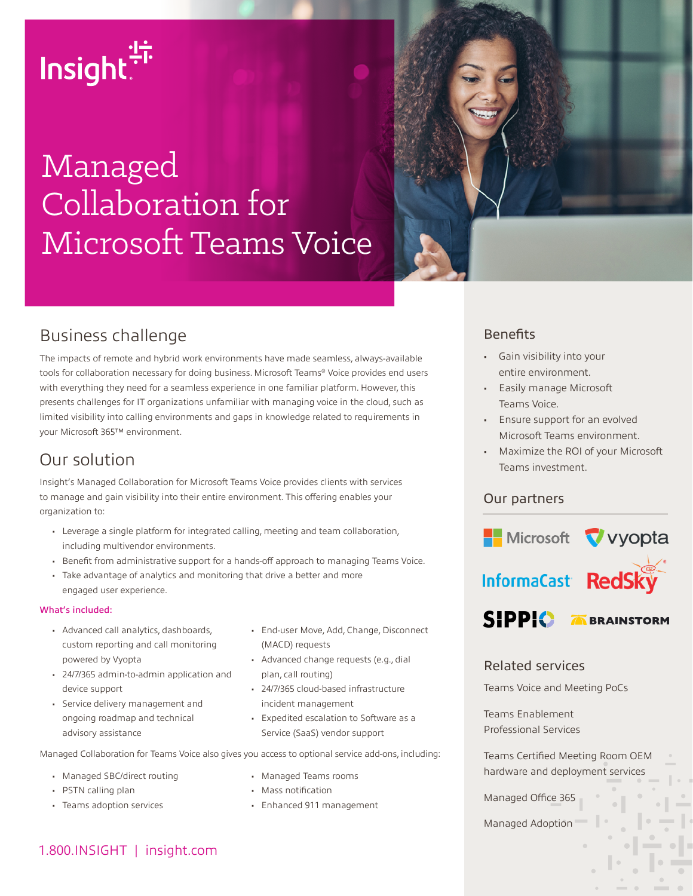# Insight.<sup>15</sup>

# Managed Collaboration for Microsoft Teams Voice



# Business challenge

The impacts of remote and hybrid work environments have made seamless, always-available tools for collaboration necessary for doing business. Microsoft Teams® Voice provides end users with everything they need for a seamless experience in one familiar platform. However, this presents challenges for IT organizations unfamiliar with managing voice in the cloud, such as limited visibility into calling environments and gaps in knowledge related to requirements in your Microsoft 365™ environment.

### Our solution

Insight's Managed Collaboration for Microsoft Teams Voice provides clients with services to manage and gain visibility into their entire environment. This offering enables your organization to:

- Leverage a single platform for integrated calling, meeting and team collaboration, including multivendor environments.
- Benefit from administrative support for a hands-off approach to managing Teams Voice.
- Take advantage of analytics and monitoring that drive a better and more engaged user experience.

#### What's included:

- Advanced call analytics, dashboards, custom reporting and call monitoring powered by Vyopta
- 24/7/365 admin-to-admin application and device support
- Service delivery management and ongoing roadmap and technical advisory assistance
- End-user Move, Add, Change, Disconnect (MACD) requests
- Advanced change requests (e.g., dial plan, call routing)
- 24/7/365 cloud-based infrastructure incident management
- Expedited escalation to Software as a Service (SaaS) vendor support

Managed Collaboration for Teams Voice also gives you access to optional service add-ons, including:

- Managed SBC/direct routing
- PSTN calling plan
- Teams adoption services
- Managed Teams rooms
- Mass notification
- Enhanced 911 management

#### **Benefits**

- Gain visibility into your entire environment.
- Easily manage Microsoft Teams Voice.
- Ensure support for an evolved Microsoft Teams environment.
- Maximize the ROI of your Microsoft Teams investment.

#### Our partners



#### Related services

Teams Voice and Meeting PoCs

Teams Enablement Professional Services

Teams Certified Meeting Room OEM hardware and deployment services

Managed Office 365

Managed Adoption

#### 1.800.INSIGHT | insight.com